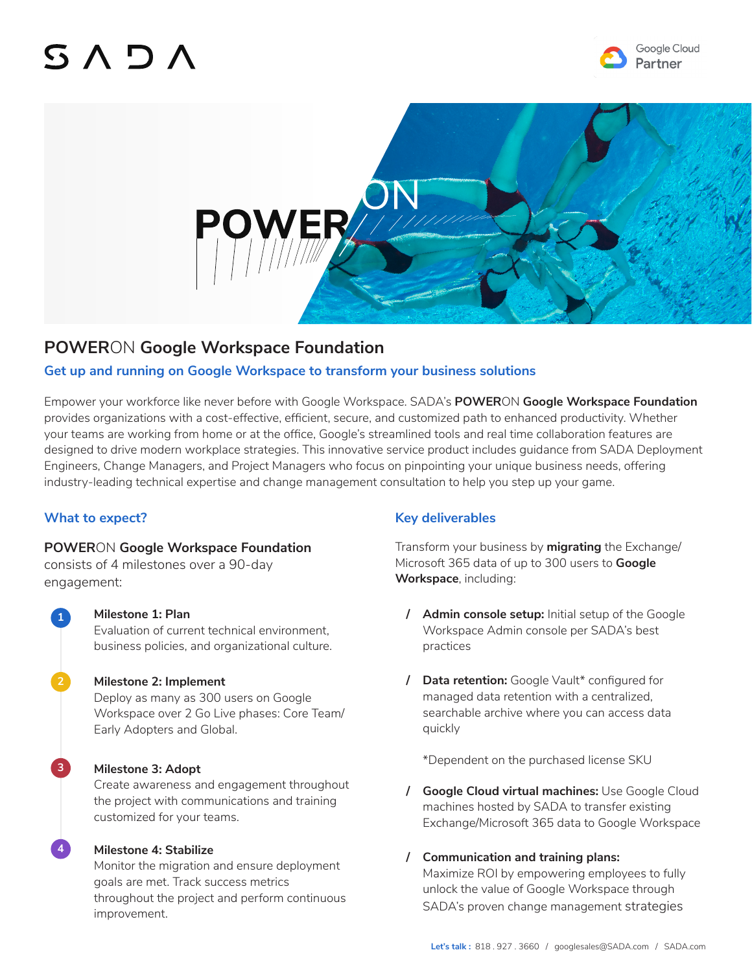# $SAD/$





# **POWER**ON **Google Workspace Foundation**

# **Get up and running on Google Workspace to transform your business solutions**

Empower your workforce like never before with Google Workspace. SADA's **POWER**ON **Google Workspace Foundation** provides organizations with a cost-effective, efficient, secure, and customized path to enhanced productivity. Whether your teams are working from home or at the office, Google's streamlined tools and real time collaboration features are designed to drive modern workplace strategies. This innovative service product includes guidance from SADA Deployment Engineers, Change Managers, and Project Managers who focus on pinpointing your unique business needs, offering industry-leading technical expertise and change management consultation to help you step up your game.

# **What to expect?**

**1**

**3**

**4**

# **POWER**ON **Google Workspace Foundation**

consists of 4 milestones over a 90-day engagement:

> **Milestone 1: Plan** Evaluation of current technical environment, business policies, and organizational culture.

#### **Milestone 2: Implement**

Deploy as many as 300 users on Google Workspace over 2 Go Live phases: Core Team/ Early Adopters and Global.

#### **Milestone 3: Adopt**

Create awareness and engagement throughout the project with communications and training customized for your teams.

#### **Milestone 4: Stabilize**

Monitor the migration and ensure deployment goals are met. Track success metrics throughout the project and perform continuous improvement.

# **Key deliverables**

Transform your business by **migrating** the Exchange/ Microsoft 365 data of up to 300 users to **Google Workspace**, including:

- **/ Admin console setup:** Initial setup of the Google Workspace Admin console per SADA's best practices
- **/ Data retention:** Google Vault\* configured for managed data retention with a centralized, searchable archive where you can access data quickly

\*Dependent on the purchased license SKU

- **/ Google Cloud virtual machines:** Use Google Cloud machines hosted by SADA to transfer existing Exchange/Microsoft 365 data to Google Workspace
- **/ Communication and training plans:**  Maximize ROI by empowering employees to fully unlock the value of Google Workspace through SADA's proven change management strategies